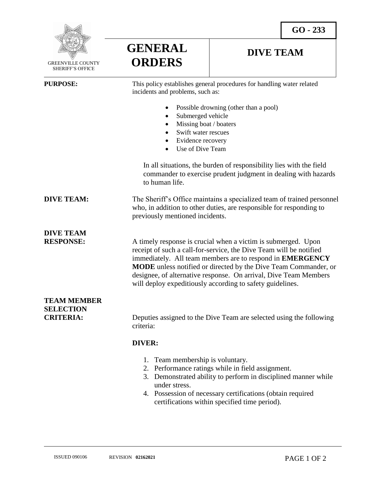

**GENERAL ORDERS**

## **DIVE TEAM**

| <b>PURPOSE:</b>                                            | This policy establishes general procedures for handling water related<br>incidents and problems, such as:                                                                                                                                                                                                                                                                                                   |
|------------------------------------------------------------|-------------------------------------------------------------------------------------------------------------------------------------------------------------------------------------------------------------------------------------------------------------------------------------------------------------------------------------------------------------------------------------------------------------|
|                                                            | Possible drowning (other than a pool)                                                                                                                                                                                                                                                                                                                                                                       |
|                                                            | Submerged vehicle                                                                                                                                                                                                                                                                                                                                                                                           |
|                                                            | Missing boat / boaters<br>$\bullet$                                                                                                                                                                                                                                                                                                                                                                         |
|                                                            | Swift water rescues<br>$\bullet$                                                                                                                                                                                                                                                                                                                                                                            |
|                                                            | • Evidence recovery                                                                                                                                                                                                                                                                                                                                                                                         |
|                                                            | Use of Dive Team<br>$\bullet$                                                                                                                                                                                                                                                                                                                                                                               |
|                                                            | In all situations, the burden of responsibility lies with the field<br>commander to exercise prudent judgment in dealing with hazards<br>to human life.                                                                                                                                                                                                                                                     |
| <b>DIVE TEAM:</b>                                          | The Sheriff's Office maintains a specialized team of trained personnel<br>who, in addition to other duties, are responsible for responding to<br>previously mentioned incidents.                                                                                                                                                                                                                            |
| <b>DIVE TEAM</b><br><b>RESPONSE:</b>                       | A timely response is crucial when a victim is submerged. Upon<br>receipt of such a call-for-service, the Dive Team will be notified<br>immediately. All team members are to respond in <b>EMERGENCY</b><br>MODE unless notified or directed by the Dive Team Commander, or<br>designee, of alternative response. On arrival, Dive Team Members<br>will deploy expeditiously according to safety guidelines. |
| <b>TEAM MEMBER</b><br><b>SELECTION</b><br><b>CRITERIA:</b> | Deputies assigned to the Dive Team are selected using the following<br>criteria:                                                                                                                                                                                                                                                                                                                            |
|                                                            |                                                                                                                                                                                                                                                                                                                                                                                                             |
|                                                            | <b>DIVER:</b>                                                                                                                                                                                                                                                                                                                                                                                               |
|                                                            | 1. Team membership is voluntary.<br>2. Performance ratings while in field assignment.<br>3. Demonstrated ability to perform in disciplined manner while<br>under stress.                                                                                                                                                                                                                                    |

4. Possession of necessary certifications (obtain required certifications within specified time period).